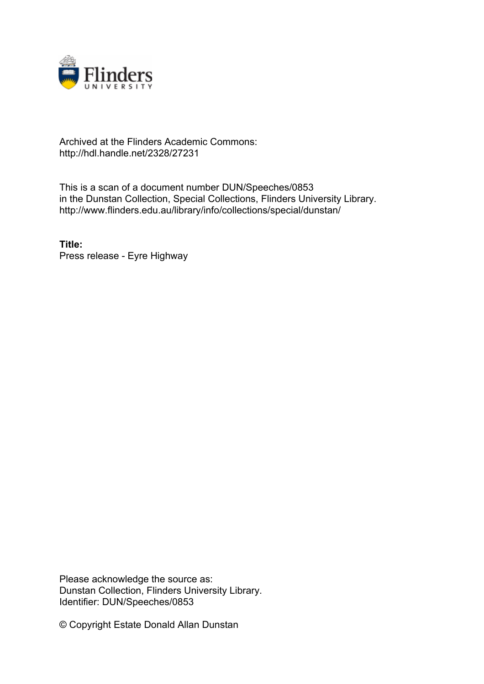

# Archived at the Flinders Academic Commons: http://hdl.handle.net/2328/27231

This is a scan of a document number DUN/Speeches/0853 in the Dunstan Collection, Special Collections, Flinders University Library. http://www.flinders.edu.au/library/info/collections/special/dunstan/

**Title:** Press release - Eyre Highway

Please acknowledge the source as: Dunstan Collection, Flinders University Library. Identifier: DUN/Speeches/0853

© Copyright Estate Donald Allan Dunstan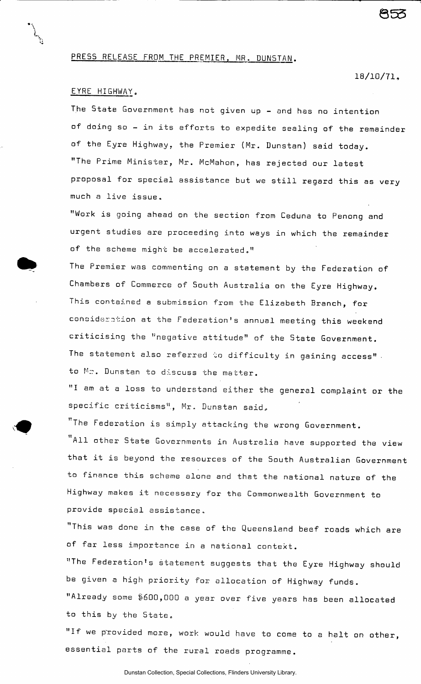## PRESS RELEASE FROM THE PREMIER, MR. DUNSTAN.

#### **18/10/71,**

855

## EYRE HIGHWAY.

The State Government has not given up - and has no intention of doing so - in its efforts to expedite sealing of the remainder of the Eyre Highway, the Premier (Mr. Dunstan) said today. "The Prime Minister, Mr. McMahon, has rejected our latest proposal for special assistance but we still regard this as very much a live issue,

"Work is going ahead on the section from Ceduna to Penong and urgent studies are proceeding into ways in which the remainder of the scheme might be accelerated."

The Premier was commenting on a statement by the Federation of Chambers of Commerce of South Australia on the Eyre Highway. This contained a submission from the Elizabeth Branch, for consideration at the Federation's annual meeting this weekend criticising the "negative attitude" of the State Government. The statement also referred to difficulty in gaining access". to Mr. Dunstan to discuss the matter.

"I am at a loss to understand either the general complaint or the specific criticisms", Mr, Dunstan said.

The Federation is simply attacking the wrong Government. All other State Governments in Australia have supported the view that it is beyond the resources of the 5outh Australian Government to finance this scheme alone and that the national nature of the Highway makes it necessary for the Commonwealth Government to provide special assistance,

"This was done in the case of the Queensland beef roads which are of far less importance in a national context.

"The Federation's statement suggests that the Eyre Highway should be given a high priority for allocation of Highway funds.

"Already some \$600,000 a year over five years has been allocated to this by the State,

"If we provided more, work would have to come to a halt on other, essential parts of the rural roads programme.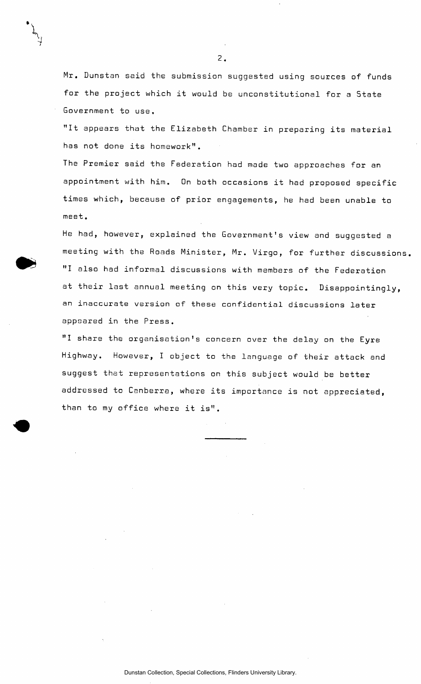Mr. Dunstan said the submission suggested using sources of funds for the project which it would be unconstitutional for a State Government to use,

"It appears that the Elizabeth Chamber in preparing its material has not done its homework".

The Premier said the Federation had made two approaches for an appointment with him. On both occasions it had proposed specific times which, because of prior engagements, he had been unable to meet.

He had, however, explained the Government's view and suggested a meeting with the Roads Minister, Mr. Virgo, for further discussions. "I also had informal discussions with members of the Federation at their last annual meeting on this very topic. Disappointingly, an inaccurate version of these confidential discussions later appeared in the Press.

"I share the organisation's concern over the delay on the Eyre Highway. However, I object to the language of their attack and suggest that representations on this subject would be better addressed to Canberra, where its importance is not appreciated, than to my office where it is".

 $\overline{2}$ .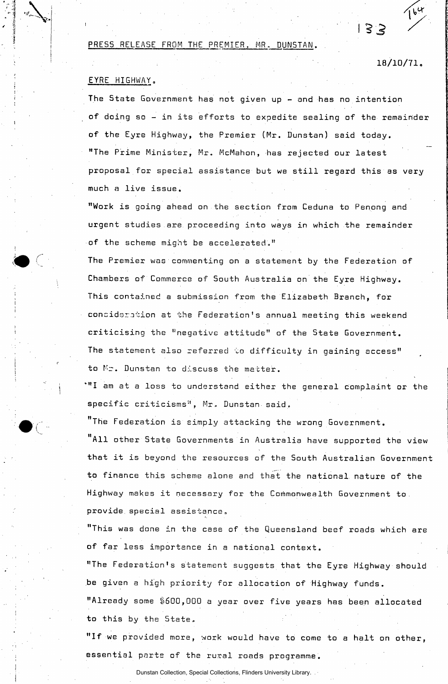#### PRESS RELEASE FROM THE PREMIER, MR. DUNSTAN.

**18/10/71** <sup>6</sup>

**I 3 3** 

# EYRE HIGHWAY.

The State Government has not given up - and has no intention **of** doing so - in its efforts to expedite sealing of the remainder **of** the Eyre Highway, the Premier (Mr. Dunstan) said today. "The Prime Minister, Mr. McMahon, has rejected our latest proposal for special assistance but we still regard this as very much a live issue.

"Work is going ahead on the section from Ceduna to Penong and urgent studies are proceeding into ways in which the remainder of the scheme might be accelerated."

The Premier was commenting on a statement by the Federation of Chambers of Commerce of South Australia on the Eyre Highway. This contained a submission from the Elizabeth Branch, for **concidsration** at the Federation's annual meeting this weekend criticising the "negative attitude" of the State Government. The statement also referred to difficulty in gaining access" to Mr. Dunstan to discuss the matter.

 $"^\mathsf{H}$  am at a loss to understand either the general complaint or the specific criticisms<sup>11</sup>, Mr. Dunstan said.

"The Federation is simply attacking the wrong Government. "All other State Governments in Australia have supported the view that it is beyond the resources of the South Australian Government to finance this scheme alone and that the national nature of the Highway makes it necessary for the Commonwealth Government to. provide special assistance,

"This was done in the case of the Queensland beef roads which are **of** far less importance in a national context.

"The Federation's statement suggests that the Eyre Highway should be given a high priority for allocation of Highway funds. "Already some \$600,000 a year over five years has been allocated to this by the State,

**"If** we provided more, work would have to come to a halt on other, essential parts of the rural roads programme.

Dunstan Collection, Special Collections, Flinders University Library.